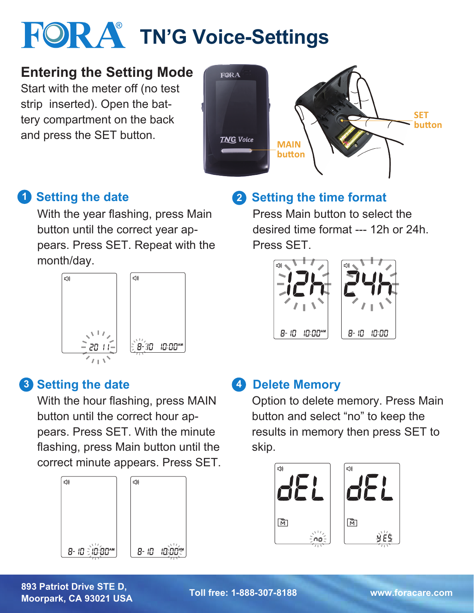# **FOR A TN'G Voice-Settings**

### **Entering the Setting Mode**

Start with the meter off (no test strip inserted). Open the battery compartment on the back and press the SET button.



### **1** Setting the date

With the year flashing, press Main button until the correct year appears. Press SET. Repeat with the month/day.



### **3 Setting the date**

With the hour flashing, press MAIN button until the correct hour appears. Press SET. With the minute flashing, press Main button until the correct minute appears. Press SET.



# **2** Setting the time format

Press Main button to select the desired time format --- 12h or 24h. Press SET.



#### **4 Delete Memory**

Option to delete memory. Press Main button and select "no" to keep the results in memory then press SET to skip.



**893 Patriot Drive STE D, Moorpark, CA 93021 USA Toll free: 1-888-307-8188 www.foracare.com**